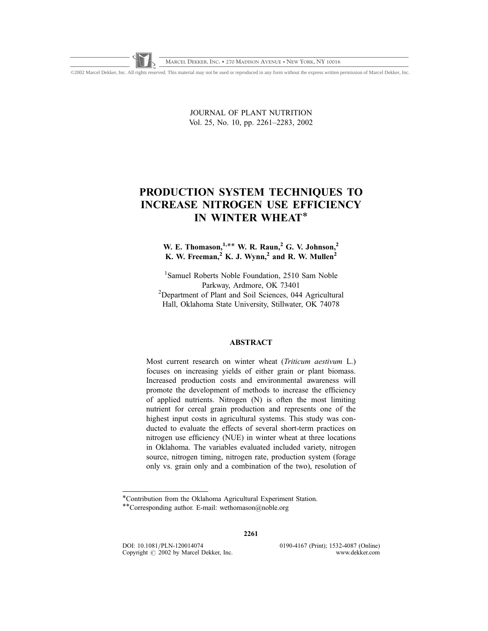©2002 Marcel Dekker, Inc. All rights reserved. This material may not be used or reproduced in any form without the express written permission of Marcel Dekker, Inc.

JOURNAL OF PLANT NUTRITION Vol. 25, No. 10, pp. 2261–2283, 2002

# PRODUCTION SYSTEM TECHNIQUES TO INCREASE NITROGEN USE EFFICIENCY IN WINTER WHEAT\*

# W. E. Thomason,  $1,***$  W. R. Raun, <sup>2</sup> G. V. Johnson,<sup>2</sup> K. W. Freeman,  $^{2}$  K. J. Wynn, $^{2}$  and R. W. Mullen<sup>2</sup>

<sup>1</sup>Samuel Roberts Noble Foundation, 2510 Sam Noble Parkway, Ardmore, OK 73401<br>
<sup>2</sup>Department of Plant and Soil Sciences, 044 Agricultural Hall, Oklahoma State University, Stillwater, OK 74078

# ABSTRACT

Most current research on winter wheat (Triticum aestivum L.) focuses on increasing yields of either grain or plant biomass. Increased production costs and environmental awareness will promote the development of methods to increase the efficiency of applied nutrients. Nitrogen (N) is often the most limiting nutrient for cereal grain production and represents one of the highest input costs in agricultural systems. This study was conducted to evaluate the effects of several short-term practices on nitrogen use efficiency (NUE) in winter wheat at three locations in Oklahoma. The variables evaluated included variety, nitrogen source, nitrogen timing, nitrogen rate, production system (forage only vs. grain only and a combination of the two), resolution of

2261

DOI: 10.1081/PLN-120014074 0190-4167 (Print); 1532-4087 (Online)<br>Copyright © 2002 by Marcel Dekker. Inc. www.dekker.com Copyright  $\odot$  2002 by Marcel Dekker, Inc.

<sup>\*</sup>Contribution from the Oklahoma Agricultural Experiment Station.

<sup>\*\*</sup>Corresponding author. E-mail: wethomason@noble.org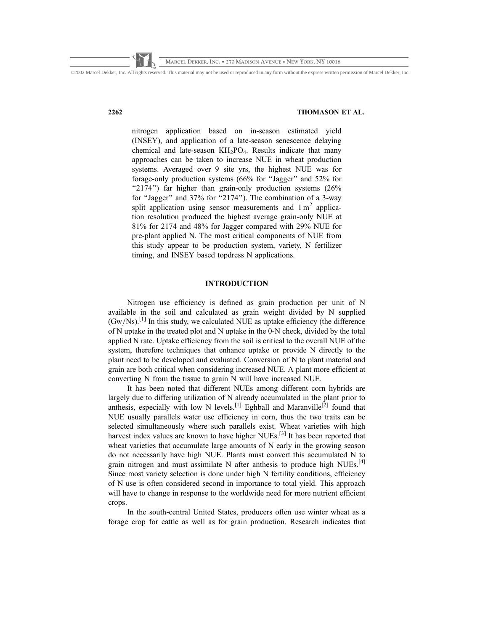©2002 Marcel Dekker, Inc. All rights reserved. This material may not be used or reproduced in any form without the express written permission of Marcel Dekker, Inc.

### 2262 THOMASON ET AL.

nitrogen application based on in-season estimated yield (INSEY), and application of a late-season senescence delaying chemical and late-season  $KH<sub>2</sub>PO<sub>4</sub>$ . Results indicate that many approaches can be taken to increase NUE in wheat production systems. Averaged over 9 site yrs, the highest NUE was for forage-only production systems (66% for ''Jagger'' and 52% for "2174") far higher than grain-only production systems (26% for "Jagger" and 37% for "2174"). The combination of a 3-way split application using sensor measurements and  $1 \text{ m}^2$  application resolution produced the highest average grain-only NUE at 81% for 2174 and 48% for Jagger compared with 29% NUE for pre-plant applied N. The most critical components of NUE from this study appear to be production system, variety, N fertilizer timing, and INSEY based topdress N applications.

# INTRODUCTION

Nitrogen use efficiency is defined as grain production per unit of N available in the soil and calculated as grain weight divided by N supplied  $(Gw/Ns)$ .<sup>[1]</sup> In this study, we calculated NUE as uptake efficiency (the difference of N uptake in the treated plot and N uptake in the 0-N check, divided by the total applied N rate. Uptake efficiency from the soil is critical to the overall NUE of the system, therefore techniques that enhance uptake or provide N directly to the plant need to be developed and evaluated. Conversion of N to plant material and grain are both critical when considering increased NUE. A plant more efficient at converting N from the tissue to grain N will have increased NUE.

It has been noted that different NUEs among different corn hybrids are largely due to differing utilization of N already accumulated in the plant prior to anthesis, especially with low N levels.<sup>[1]</sup> Eghball and Maranville<sup>[2]</sup> found that NUE usually parallels water use efficiency in corn, thus the two traits can be selected simultaneously where such parallels exist. Wheat varieties with high harvest index values are known to have higher NUEs.<sup>[3]</sup> It has been reported that wheat varieties that accumulate large amounts of N early in the growing season do not necessarily have high NUE. Plants must convert this accumulated N to grain nitrogen and must assimilate N after anthesis to produce high NUEs.<sup>[4]</sup> Since most variety selection is done under high N fertility conditions, efficiency of N use is often considered second in importance to total yield. This approach will have to change in response to the worldwide need for more nutrient efficient crops.

In the south-central United States, producers often use winter wheat as a forage crop for cattle as well as for grain production. Research indicates that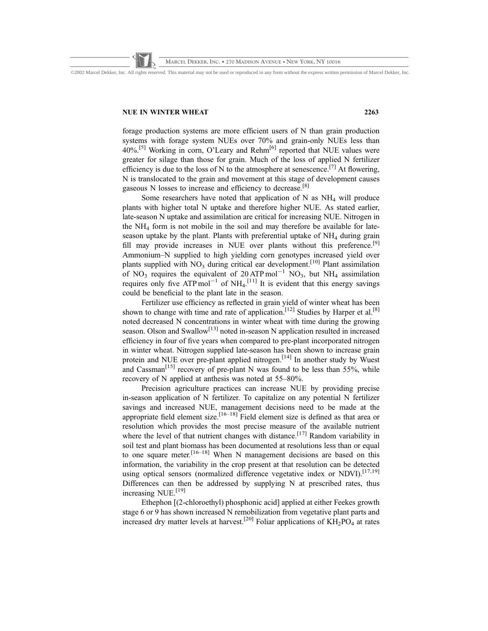©2002 Marcel Dekker, Inc. All rights reserved. This material may not be used or reproduced in any form without the express written permission of Marcel Dekker, Inc.

### NUE IN WINTER WHEAT 2263

forage production systems are more efficient users of N than grain production systems with forage system NUEs over 70% and grain-only NUEs less than  $40\%$ <sup>[5]</sup> Working in corn, O'Leary and Rehm<sup>[6]</sup> reported that NUE values were greater for silage than those for grain. Much of the loss of applied N fertilizer efficiency is due to the loss of N to the atmosphere at senescence.<sup>[7]</sup> At flowering, N is translocated to the grain and movement at this stage of development causes gaseous N losses to increase and efficiency to decrease.[8]

Some researchers have noted that application of N as  $NH<sub>4</sub>$  will produce plants with higher total N uptake and therefore higher NUE. As stated earlier, late-season N uptake and assimilation are critical for increasing NUE. Nitrogen in the  $NH<sub>4</sub>$  form is not mobile in the soil and may therefore be available for lateseason uptake by the plant. Plants with preferential uptake of NH<sub>4</sub> during grain fill may provide increases in NUE over plants without this preference.<sup>[9]</sup> Ammonium–N supplied to high yielding corn genotypes increased yield over plants supplied with NO<sub>3</sub> during critical ear development.<sup>[10]</sup> Plant assimilation of NO<sub>3</sub> requires the equivalent of 20 ATP mol<sup>-1</sup> NO<sub>3</sub>, but NH<sub>4</sub> assimilation requires only five ATP mol<sup>-1</sup> of NH<sub>4</sub>.<sup>[11]</sup> It is evident that this energy savings could be beneficial to the plant late in the season.

Fertilizer use efficiency as reflected in grain yield of winter wheat has been shown to change with time and rate of application.<sup>[12]</sup> Studies by Harper et al.<sup>[8]</sup> noted decreased N concentrations in winter wheat with time during the growing season. Olson and Swallow<sup>[13]</sup> noted in-season N application resulted in increased efficiency in four of five years when compared to pre-plant incorporated nitrogen in winter wheat. Nitrogen supplied late-season has been shown to increase grain protein and NUE over pre-plant applied nitrogen.<sup>[14]</sup> In another study by Wuest and Cassman<sup>[15]</sup> recovery of pre-plant N was found to be less than 55%, while recovery of N applied at anthesis was noted at 55–80%.

Precision agriculture practices can increase NUE by providing precise in-season application of N fertilizer. To capitalize on any potential N fertilizer savings and increased NUE, management decisions need to be made at the appropriate field element size.<sup>[16–18]</sup> Field element size is defined as that area or resolution which provides the most precise measure of the available nutrient where the level of that nutrient changes with distance.<sup>[17]</sup> Random variability in soil test and plant biomass has been documented at resolutions less than or equal to one square meter.<sup>[16–18]</sup> When N management decisions are based on this information, the variability in the crop present at that resolution can be detected using optical sensors (normalized difference vegetative index or NDVI).<sup>[17,19]</sup> Differences can then be addressed by supplying  $N$  at prescribed rates, thus increasing NUE.<sup>[19]</sup>

Ethephon [(2-chloroethyl) phosphonic acid] applied at either Feekes growth stage 6 or 9 has shown increased N remobilization from vegetative plant parts and increased dry matter levels at harvest.<sup>[20]</sup> Foliar applications of  $\overrightarrow{KH}_2\overrightarrow{PO}_4$  at rates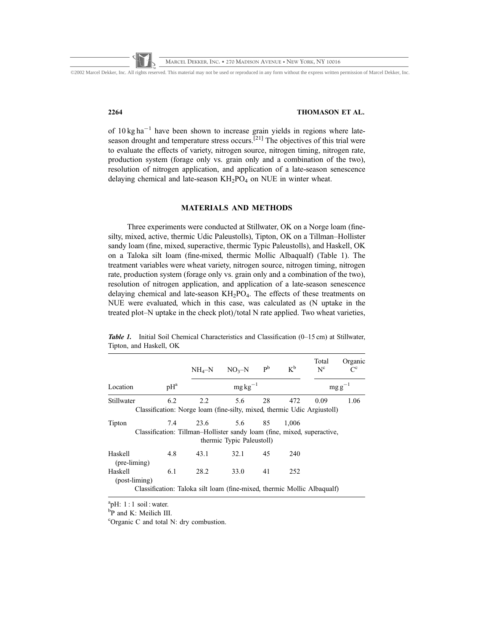©2002 Marcel Dekker, Inc. All rights reserved. This material may not be used or reproduced in any form without the express written permission of Marcel Dekker, Inc.

# 2264 THOMASON ET AL.

of  $10 \text{ kg ha}^{-1}$  have been shown to increase grain yields in regions where lateseason drought and temperature stress occurs.<sup>[21]</sup> The objectives of this trial were to evaluate the effects of variety, nitrogen source, nitrogen timing, nitrogen rate, production system (forage only vs. grain only and a combination of the two), resolution of nitrogen application, and application of a late-season senescence delaying chemical and late-season  $KH_2PO_4$  on NUE in winter wheat.

# MATERIALS AND METHODS

Three experiments were conducted at Stillwater, OK on a Norge loam (finesilty, mixed, active, thermic Udic Paleustolls), Tipton, OK on a Tillman–Hollister sandy loam (fine, mixed, superactive, thermic Typic Paleustolls), and Haskell, OK on a Taloka silt loam (fine-mixed, thermic Mollic Albaqualf) (Table 1). The treatment variables were wheat variety, nitrogen source, nitrogen timing, nitrogen rate, production system (forage only vs. grain only and a combination of the two), resolution of nitrogen application, and application of a late-season senescence delaying chemical and late-season  $KH_2PO_4$ . The effects of these treatments on NUE were evaluated, which in this case, was calculated as (N uptake in the treated plot–N uptake in the check plot)/total N rate applied. Two wheat varieties,

|                            |        | $NH_4-N$                                                                                   | $NO3-N$                   | $\mathbf{p}^{\mathrm{b}}$ | $K^b$ | Total<br>$N^c$ | Organic |
|----------------------------|--------|--------------------------------------------------------------------------------------------|---------------------------|---------------------------|-------|----------------|---------|
| Location                   | $pH^a$ |                                                                                            | $mg\,kg^{-1}$             |                           |       | $mg g^-$       |         |
| Stillwater                 | 6.2    | 2.2<br>Classification: Norge loam (fine-silty, mixed, thermic Udic Argiustoll)             | 5.6                       | 28                        | 472   | 0.09           | 1.06    |
| Tipton                     |        | 7.4 23.6 5.6 85<br>Classification: Tillman–Hollister sandy loam (fine, mixed, superactive, | thermic Typic Paleustoll) |                           | 1,006 |                |         |
| Haskell<br>$(pre-liming)$  | 4.8    | 43.1                                                                                       | 32.1                      | 45                        | 240   |                |         |
| Haskell<br>$(post-liming)$ | 6.1    | 28.2                                                                                       | 33.0                      | 41                        | 252   |                |         |
|                            |        | Classification: Taloka silt loam (fine-mixed, thermic Mollic Albaqualf)                    |                           |                           |       |                |         |

Table 1. Initial Soil Chemical Characteristics and Classification (0–15 cm) at Stillwater, Tipton, and Haskell, OK

 ${}^{a}$ pH: 1 : 1 soil : water.

b P and K: Meilich III.

c Organic C and total N: dry combustion.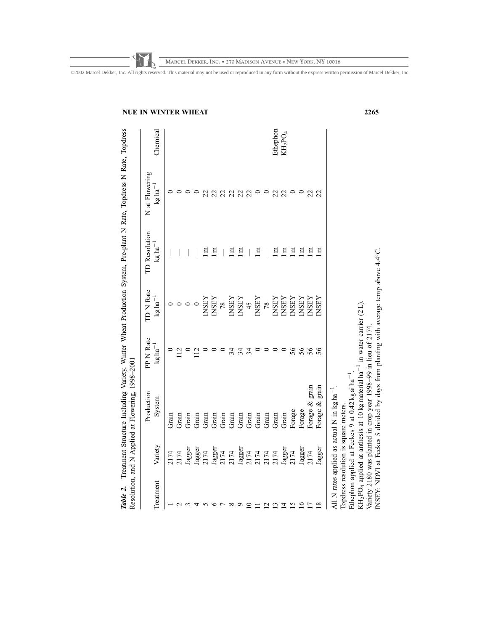| Ethephon<br>Chemical<br>KH <sub>2</sub> PO <sub>4</sub><br>$kg$ ha <sup>-1</sup><br>22<br>22<br>22<br>22<br>22<br>22<br>22<br>$kg$ ha <sup>-1</sup><br>$\Xi$<br>$\Xi$<br>$\Xi$<br>$\Xi$<br>E<br>$\Xi$<br>E<br>E<br>E<br>E<br>日<br>$\overline{\phantom{a}}$<br>$\log{\rm{ha}^{-1}}$<br><b>INSEY</b><br><b>INSEY</b><br><b>INSEY</b><br><b>INSEY</b><br><b>NSEY</b><br><b>INSEY</b><br><b>INSEY</b><br><b>NSEY</b><br><b>NSEY</b><br><b>INSEY</b><br><b>INSEY</b><br>78<br>45<br>78<br>$kg$ ha <sup>-1</sup><br>56<br>56<br>56<br>34<br>56<br>34<br>34<br>Forage & grain<br>grain<br>System<br>Forage &<br>Forage<br>Forage<br>Grain<br>Grain<br>Grain<br>Grain<br>Grain<br>Grain<br>Grain<br>Grain<br>Grain<br>Grain<br>Grain<br>Grain<br>Grain<br>Grain<br>Variety<br>Jagger<br>Jagger<br>2174<br>Jagger<br>Jagger<br>Jagger<br>Jagger<br>2174<br>lagger<br>2174<br>2174<br>2174<br>2174<br>2174<br>2174<br>2174<br>2174<br>2174 | Treatment                                                                                                    | PP N Rate<br>Production | <b>TD N Rate</b> | <b>TD</b> Resolution | N at Flowering |  |
|----------------------------------------------------------------------------------------------------------------------------------------------------------------------------------------------------------------------------------------------------------------------------------------------------------------------------------------------------------------------------------------------------------------------------------------------------------------------------------------------------------------------------------------------------------------------------------------------------------------------------------------------------------------------------------------------------------------------------------------------------------------------------------------------------------------------------------------------------------------------------------------------------------------------------------|--------------------------------------------------------------------------------------------------------------|-------------------------|------------------|----------------------|----------------|--|
|                                                                                                                                                                                                                                                                                                                                                                                                                                                                                                                                                                                                                                                                                                                                                                                                                                                                                                                                  |                                                                                                              |                         |                  |                      |                |  |
|                                                                                                                                                                                                                                                                                                                                                                                                                                                                                                                                                                                                                                                                                                                                                                                                                                                                                                                                  |                                                                                                              |                         |                  |                      |                |  |
|                                                                                                                                                                                                                                                                                                                                                                                                                                                                                                                                                                                                                                                                                                                                                                                                                                                                                                                                  |                                                                                                              |                         |                  |                      |                |  |
|                                                                                                                                                                                                                                                                                                                                                                                                                                                                                                                                                                                                                                                                                                                                                                                                                                                                                                                                  |                                                                                                              |                         |                  |                      |                |  |
|                                                                                                                                                                                                                                                                                                                                                                                                                                                                                                                                                                                                                                                                                                                                                                                                                                                                                                                                  |                                                                                                              |                         |                  |                      |                |  |
|                                                                                                                                                                                                                                                                                                                                                                                                                                                                                                                                                                                                                                                                                                                                                                                                                                                                                                                                  |                                                                                                              |                         |                  |                      |                |  |
|                                                                                                                                                                                                                                                                                                                                                                                                                                                                                                                                                                                                                                                                                                                                                                                                                                                                                                                                  |                                                                                                              |                         |                  |                      |                |  |
|                                                                                                                                                                                                                                                                                                                                                                                                                                                                                                                                                                                                                                                                                                                                                                                                                                                                                                                                  |                                                                                                              |                         |                  |                      |                |  |
|                                                                                                                                                                                                                                                                                                                                                                                                                                                                                                                                                                                                                                                                                                                                                                                                                                                                                                                                  |                                                                                                              |                         |                  |                      |                |  |
|                                                                                                                                                                                                                                                                                                                                                                                                                                                                                                                                                                                                                                                                                                                                                                                                                                                                                                                                  |                                                                                                              |                         |                  |                      |                |  |
|                                                                                                                                                                                                                                                                                                                                                                                                                                                                                                                                                                                                                                                                                                                                                                                                                                                                                                                                  | $\Xi$                                                                                                        |                         |                  |                      |                |  |
|                                                                                                                                                                                                                                                                                                                                                                                                                                                                                                                                                                                                                                                                                                                                                                                                                                                                                                                                  | $\equiv$                                                                                                     |                         |                  |                      |                |  |
|                                                                                                                                                                                                                                                                                                                                                                                                                                                                                                                                                                                                                                                                                                                                                                                                                                                                                                                                  | $\overline{c}$                                                                                               |                         |                  |                      |                |  |
|                                                                                                                                                                                                                                                                                                                                                                                                                                                                                                                                                                                                                                                                                                                                                                                                                                                                                                                                  | $\overline{13}$                                                                                              |                         |                  |                      |                |  |
|                                                                                                                                                                                                                                                                                                                                                                                                                                                                                                                                                                                                                                                                                                                                                                                                                                                                                                                                  | $\overline{4}$                                                                                               |                         |                  |                      |                |  |
|                                                                                                                                                                                                                                                                                                                                                                                                                                                                                                                                                                                                                                                                                                                                                                                                                                                                                                                                  | $\overline{15}$                                                                                              |                         |                  |                      |                |  |
|                                                                                                                                                                                                                                                                                                                                                                                                                                                                                                                                                                                                                                                                                                                                                                                                                                                                                                                                  | $\tilde{=}$                                                                                                  |                         |                  |                      |                |  |
|                                                                                                                                                                                                                                                                                                                                                                                                                                                                                                                                                                                                                                                                                                                                                                                                                                                                                                                                  | $\overline{11}$                                                                                              |                         |                  |                      |                |  |
|                                                                                                                                                                                                                                                                                                                                                                                                                                                                                                                                                                                                                                                                                                                                                                                                                                                                                                                                  | $\frac{8}{18}$                                                                                               |                         |                  |                      |                |  |
|                                                                                                                                                                                                                                                                                                                                                                                                                                                                                                                                                                                                                                                                                                                                                                                                                                                                                                                                  |                                                                                                              |                         |                  |                      |                |  |
| Ethephon applied at Feekes 9 at 0.42 kg ai ha <sup>-1</sup><br>Topdress resolution is square meters.                                                                                                                                                                                                                                                                                                                                                                                                                                                                                                                                                                                                                                                                                                                                                                                                                             | KH <sub>2</sub> PO <sub>4</sub> applied at anthesis at 10 kg material ha <sup>-1</sup> in water carrier (2L) |                         |                  |                      |                |  |

**MARCEL DEKKER, INC. • 270 MADISON AVENUE • NEW YORK, NY 10016**

©2002 Marcel Dekker, Inc. All rights reserved. This material may not be used or reproduced in any form without the express written permission of Marcel Dekker, Inc.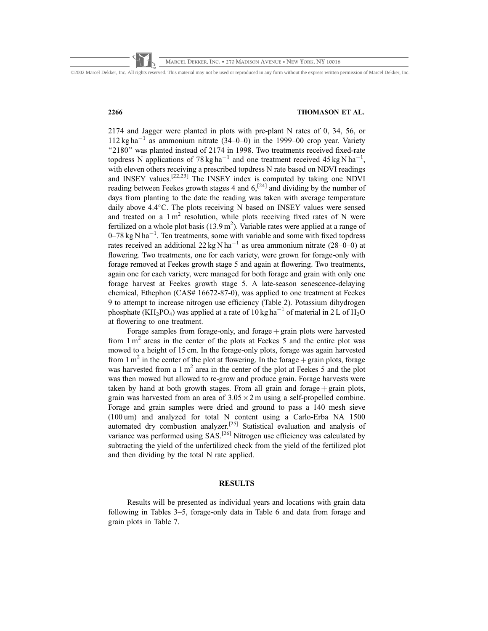©2002 Marcel Dekker, Inc. All rights reserved. This material may not be used or reproduced in any form without the express written permission of Marcel Dekker, Inc.

# 2266 THOMASON ET AL.

2174 and Jagger were planted in plots with pre-plant N rates of 0, 34, 56, or  $112 \text{ kg ha}^{-1}$  as ammonium nitrate (34–0–0) in the 1999–00 crop year. Variety "2180" was planted instead of 2174 in 1998. Two treatments received fixed-rate topdress N applications of 78 kg ha<sup>-1</sup> and one treatment received  $45 \text{ kg N} \text{ ha}^{-1}$ , with eleven others receiving a prescribed topdress N rate based on NDVI readings and INSEY values.[22,23] The INSEY index is computed by taking one NDVI reading between Feekes growth stages 4 and  $6$ ,<sup>[24]</sup> and dividing by the number of days from planting to the date the reading was taken with average temperature daily above 4.4°C. The plots receiving N based on INSEY values were sensed and treated on a  $1 \text{ m}^2$  resolution, while plots receiving fixed rates of N were fertilized on a whole plot basis  $(13.9 \text{ m}^2)$ . Variable rates were applied at a range of  $0-78$  kg N ha<sup>-1</sup>. Ten treatments, some with variable and some with fixed topdress rates received an additional  $22 \text{ kg N} \text{ ha}^{-1}$  as urea ammonium nitrate (28–0–0) at flowering. Two treatments, one for each variety, were grown for forage-only with forage removed at Feekes growth stage 5 and again at flowering. Two treatments, again one for each variety, were managed for both forage and grain with only one forage harvest at Feekes growth stage 5. A late-season senescence-delaying chemical, Ethephon (CAS# 16672-87-0), was applied to one treatment at Feekes 9 to attempt to increase nitrogen use efficiency (Table 2). Potassium dihydrogen phosphate (KH<sub>2</sub>PO<sub>4</sub>) was applied at a rate of 10 kg ha<sup>-1</sup> of material in 2 L of H<sub>2</sub>O at flowering to one treatment.

Forage samples from forage-only, and forage  $+$  grain plots were harvested from  $1 \text{ m}^2$  areas in the center of the plots at Feekes 5 and the entire plot was mowed to a height of 15 cm. In the forage-only plots, forage was again harvested from 1 m<sup>2</sup> in the center of the plot at flowering. In the forage  $+$  grain plots, forage was harvested from a  $1 \text{ m}^2$  area in the center of the plot at Feekes 5 and the plot was then mowed but allowed to re-grow and produce grain. Forage harvests were taken by hand at both growth stages. From all grain and forage  $+$  grain plots, grain was harvested from an area of  $3.05 \times 2$  m using a self-propelled combine. Forage and grain samples were dried and ground to pass a 140 mesh sieve (100 um) and analyzed for total N content using a Carlo-Erba NA 1500 automated dry combustion analyzer.[25] Statistical evaluation and analysis of variance was performed using SAS.<sup>[26]</sup> Nitrogen use efficiency was calculated by subtracting the yield of the unfertilized check from the yield of the fertilized plot and then dividing by the total N rate applied.

# RESULTS

Results will be presented as individual years and locations with grain data following in Tables 3–5, forage-only data in Table 6 and data from forage and grain plots in Table 7.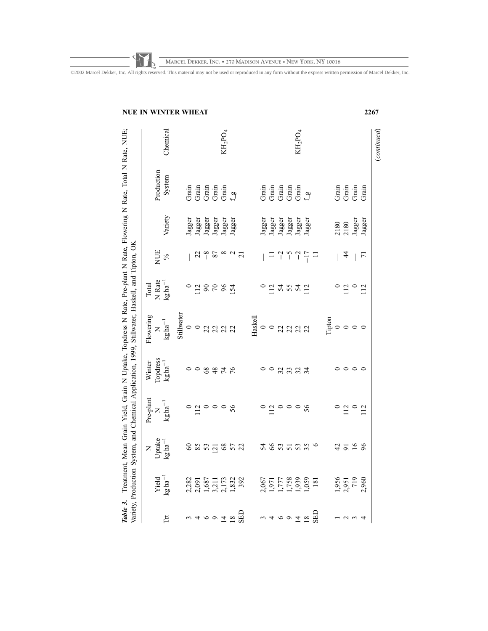|              | WINTER<br>Chemical                                                                |            | WHEAT                                                                                                                                                                                                                                                                                                                                                                                 |          | $\rm KH_2PO_4$ |                |  |                             |                               |                                                  | $\rm KH_2PO_4$                                            |         |            |         |                                                                                                                                                                                                                                                           |        | 2267            |
|--------------|-----------------------------------------------------------------------------------|------------|---------------------------------------------------------------------------------------------------------------------------------------------------------------------------------------------------------------------------------------------------------------------------------------------------------------------------------------------------------------------------------------|----------|----------------|----------------|--|-----------------------------|-------------------------------|--------------------------------------------------|-----------------------------------------------------------|---------|------------|---------|-----------------------------------------------------------------------------------------------------------------------------------------------------------------------------------------------------------------------------------------------------------|--------|-----------------|
|              |                                                                                   |            |                                                                                                                                                                                                                                                                                                                                                                                       |          |                |                |  |                             |                               |                                                  |                                                           |         |            |         |                                                                                                                                                                                                                                                           |        |                 |
|              | Production<br>System                                                              |            | $\begin{array}{l} \mbox{Griu} \\ \mbox{Griu} \\ \mbox{Griu} \\ \mbox{Griu} \\ \mbox{Griu} \\ \mbox{Griu} \\ \mbox{Griu} \\ \mbox{Griu} \\ \mbox{Griu} \\ \mbox{Griu} \\ \mbox{Griu} \\ \mbox{Griu} \\ \mbox{Griu} \\ \mbox{Griu} \\ \mbox{Griu} \\ \mbox{Griu} \\ \mbox{Griu} \\ \mbox{Griu} \\ \mbox{Griu} \\ \mbox{Griu} \\ \mbox{Griu} \\ \mbox{Griu} \\ \mbox{Griu} \\ \mbox{Gri$ |          |                |                |  |                             |                               | Grain<br>Grain<br>Grain<br>Grain                 |                                                           | $f_{g}$ |            |         | de de de<br>Grand<br>Grand<br>Grand<br>Grand<br>Grand<br>Grand<br>Grand<br>Grand<br>Grand<br>Grand<br>Grand<br>Grand<br>Grand<br>Grand<br>Grand<br>Grand<br>Grand<br>Grand<br>Grand<br>Grand<br>Grand<br>Grand<br>Grand<br>Grand<br>Grand Grand Grand<br> |        | Grain           |
|              | Variety                                                                           |            | Jagger<br>Jagger<br>Jagger<br>Jagger<br>Jagger                                                                                                                                                                                                                                                                                                                                        |          |                |                |  |                             | ${\bf Jagger}$ ${\bf Jagger}$ | Jagger                                           | Jagger                                                    | Jagger  |            |         | 2180<br>2180                                                                                                                                                                                                                                              | Jagger | Jagger          |
|              | <b>NUE</b><br>$\sqrt{6}$                                                          |            |                                                                                                                                                                                                                                                                                                                                                                                       | $228$ 87 |                | $\frac{8}{21}$ |  |                             |                               | $-2$                                             | $\begin{array}{c} \n\hline\n-1 \\ \hline\n1\n\end{array}$ |         |            |         | $\ddot{4}$                                                                                                                                                                                                                                                |        | $\overline{7}1$ |
| Total        | N Rate<br>$kg \, ha^{-1}$                                                         |            | 0.28881                                                                                                                                                                                                                                                                                                                                                                               |          |                |                |  |                             |                               | 0.248842                                         |                                                           |         |            |         | $\frac{12}{0}$                                                                                                                                                                                                                                            |        | $\overline{12}$ |
| Flowering    | $\frac{N}{kg \ln^{-1}}$                                                           | Stillwater | $\circ$ $\circ$ $\alpha$ $\alpha$ $\alpha$ $\alpha$                                                                                                                                                                                                                                                                                                                                   |          |                |                |  | =<br>=<br>#=<br>=<br>=<br>= |                               |                                                  |                                                           |         |            |         | $\Gamma$ ipton $\circ$ $\circ$ $\circ$                                                                                                                                                                                                                    |        |                 |
| Winter       | Topdress<br>$kgha^{-1}$                                                           |            | 0.8878                                                                                                                                                                                                                                                                                                                                                                                |          |                |                |  |                             | $\circ$                       | 28.24                                            |                                                           |         |            |         | $\circ \circ \circ$                                                                                                                                                                                                                                       |        |                 |
| Pre-plant    | $\frac{N}{kg \, ha^{-1}}$                                                         |            | 0.20008                                                                                                                                                                                                                                                                                                                                                                               |          |                |                |  | $\circ$                     |                               | 110008                                           |                                                           |         |            | $\circ$ | $\frac{12}{10}$                                                                                                                                                                                                                                           |        | 112             |
| $\mathsf{z}$ | $\begin{array}{c} \mathtt{Update} \\ \mathtt{kg} \, \mathtt{ha}^{-1} \end{array}$ |            | 8 2 3 5 4 6 5 7 8                                                                                                                                                                                                                                                                                                                                                                     |          |                |                |  |                             |                               | 3635336                                          |                                                           |         |            |         | 4528                                                                                                                                                                                                                                                      |        |                 |
|              | $Yield$<br>$kg ha^{-1}$                                                           |            | 2,282<br>2,091<br>1,687<br>1,832<br>1,832<br>1,832                                                                                                                                                                                                                                                                                                                                    |          |                |                |  |                             |                               | 2,067<br>1,971<br>1,758<br>1,939<br>1,059<br>181 |                                                           |         |            |         | 1,956<br>2,951<br>719<br>2,960                                                                                                                                                                                                                            |        |                 |
|              | Ħ                                                                                 |            | m 4 6 9 7 8 8 8<br>1                                                                                                                                                                                                                                                                                                                                                                  |          |                |                |  |                             |                               | n 4 6 9 7 8                                      |                                                           |         | <b>GED</b> |         | 125                                                                                                                                                                                                                                                       |        |                 |

**MARCEL DEKKER, INC. • 270 MADISON AVENUE • NEW YORK, NY 10016**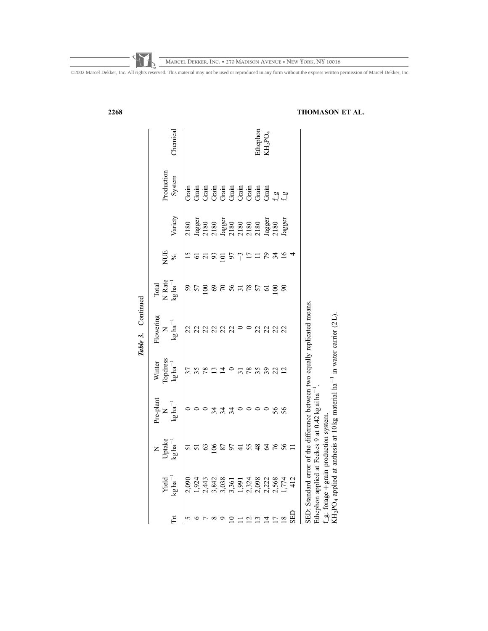| 2268 |                       |                                                              |                                                                                 |       |                  |              |                                           |    |       |               |          |                |                 |                 |     | THOMASON ET AL.                                                                          |  |
|------|-----------------------|--------------------------------------------------------------|---------------------------------------------------------------------------------|-------|------------------|--------------|-------------------------------------------|----|-------|---------------|----------|----------------|-----------------|-----------------|-----|------------------------------------------------------------------------------------------|--|
|      |                       | Chemical                                                     |                                                                                 |       |                  |              |                                           |    |       |               | Ethephon | $\rm KH_2PO_4$ |                 |                 |     |                                                                                          |  |
|      |                       | Production<br>System                                         | Grain                                                                           | Grain |                  |              | drain<br>Grain<br>Grain<br>Grain<br>Grain |    |       |               |          | Grain          |                 | ္လ္က ဗ်ာ        |     |                                                                                          |  |
|      |                       | Variety                                                      | 2180<br><i>1</i> agger<br><i>1</i> 2180<br>2180<br>2180<br>2180<br>2180<br>2180 |       |                  |              |                                           |    |       |               |          | Jagger<br>2180 |                 | Jagger          |     |                                                                                          |  |
|      |                       | NUE<br>$\frac{6}{6}$                                         |                                                                                 | 5     | $\overline{c}$   | 93           | $\overline{5}$                            | 57 | ျ     | F             | 급        | 56             | 34              | $\overline{16}$ | 4   |                                                                                          |  |
|      |                       | N Rate<br>$kg$ ha <sup>-1</sup><br>Total                     | 59                                                                              | 57    | $\overline{100}$ | $rac{6}{20}$ |                                           |    | 56787 |               |          | $\overline{6}$ | $\Xi$           | $\infty$        |     |                                                                                          |  |
|      | Continued<br>Table 3. | Flowering<br>$\mathrm{kg}\,\mathrm{ha}^{-1}$<br>Z            | 22                                                                              | 22    |                  |              | 2222                                      |    |       |               | 22       |                | 222             |                 |     | SED: Standard error of the difference between two equally replicated means.              |  |
|      |                       | Topdress<br>Winter<br>$kg$ ha <sup>-1</sup>                  |                                                                                 | 35    |                  |              |                                           |    |       | 78            | 35       | 39             | 22              | $\overline{c}$  |     | anthesis at 10 kg material ha <sup>-1</sup> in water carrier (2L).                       |  |
|      |                       | Pre-plant<br>$\mathrm{kg}\,\mathrm{ha}^{-1}$<br>$\mathsf{z}$ |                                                                                 |       |                  | 34           | 34                                        | 34 |       |               |          |                | 56              | 56              |     | Feekes 9 at 0.42 kg ai ha                                                                |  |
|      |                       | Uptake<br>$kg$ ha <sup>-1</sup><br>$\mathsf{z}$              | 5                                                                               | 5     |                  | 106          | 87                                        |    |       | 55            | 48       | 376            |                 | 56              |     | production system.                                                                       |  |
|      |                       | $kg$ ha <sup>-1</sup><br>Yield                               |                                                                                 |       |                  |              |                                           |    |       |               |          |                |                 |                 |     | Ethephon applied at<br>f_g: forage + grain<br>KH <sub>2</sub> PO <sub>4</sub> applied at |  |
|      |                       | $\mathbb{H}$                                                 | 5                                                                               |       |                  |              |                                           |    |       | $\frac{2}{1}$ |          |                | $\overline{17}$ | $\frac{8}{18}$  | GED |                                                                                          |  |

**MARCEL DEKKER, INC. • 270 MADISON AVENUE • NEW YORK, NY 10016**

©2002 Marcel Dekker, Inc. All rights reserved. This material may not be used or reproduced in any form without the express written permission of Marcel Dekker, Inc.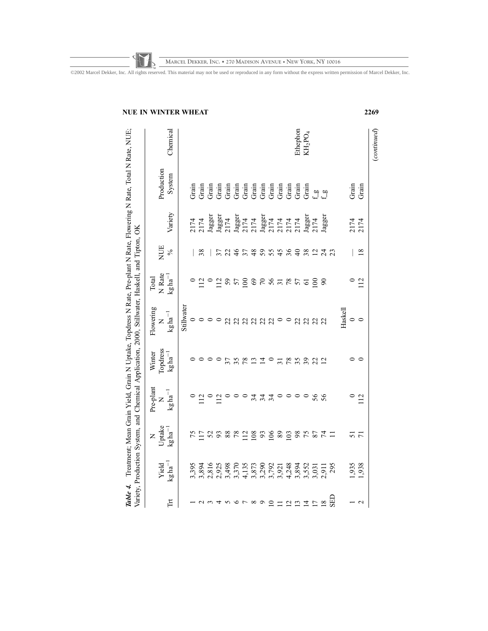**MARCEL DEKKER, INC. • 270 MADISON AVENUE • NEW YORK, NY 10016**

| Stillwater<br>Flowering<br>$kg$ ha <sup>-1</sup><br>$\circ$<br>$\mathsf{z}$ | Topdress<br>Winter<br>$\mathrm{kg}\,\mathrm{ha}^{-1}$<br>Pre-plant<br>$\mathrm{kg}\,\mathrm{ha}^{-1}$ |
|-----------------------------------------------------------------------------|-------------------------------------------------------------------------------------------------------|
|                                                                             |                                                                                                       |
|                                                                             |                                                                                                       |
|                                                                             |                                                                                                       |
|                                                                             |                                                                                                       |
|                                                                             |                                                                                                       |
|                                                                             |                                                                                                       |
|                                                                             |                                                                                                       |
|                                                                             |                                                                                                       |
| 35                                                                          |                                                                                                       |
| 78                                                                          |                                                                                                       |
| $\mathbf{r}$                                                                |                                                                                                       |
| 222<br>Ξ                                                                    |                                                                                                       |
|                                                                             |                                                                                                       |
| $\circ$<br>$\overline{5}$                                                   |                                                                                                       |
| $\circ$<br>78                                                               |                                                                                                       |
| 35                                                                          |                                                                                                       |
| 32                                                                          |                                                                                                       |
| $2222$                                                                      |                                                                                                       |
| $\overline{c}$                                                              |                                                                                                       |
|                                                                             |                                                                                                       |
| Haskell                                                                     |                                                                                                       |
| $\circ$                                                                     |                                                                                                       |
| $\circ$<br>ᅌ                                                                |                                                                                                       |

# NUE IN WINTER WHEAT 2269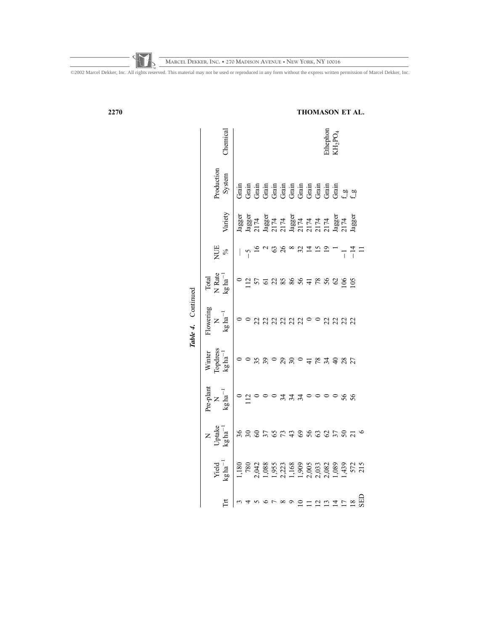©2002 Marcel Dekker, Inc. All rights reserved. This material may not be used or reproduced in any form without the express written permission of Marcel Dekker, Inc. **MARCEL DEKKER, INC. • 270 MADISON AVENUE • NEW YORK, NY 10016**

|                    | hemical                                                                                                                                                     |                                                                                                                                                                                                                                  |                |                |                 |                                                                                                                                                       |     |                           |  | $\begin{array}{l} \text{thepton}\\ \text{LHPO}_4 \end{array}$ |                                                  |                                                                                          |  |
|--------------------|-------------------------------------------------------------------------------------------------------------------------------------------------------------|----------------------------------------------------------------------------------------------------------------------------------------------------------------------------------------------------------------------------------|----------------|----------------|-----------------|-------------------------------------------------------------------------------------------------------------------------------------------------------|-----|---------------------------|--|---------------------------------------------------------------|--------------------------------------------------|------------------------------------------------------------------------------------------|--|
|                    | roduction<br>System                                                                                                                                         | de faith de faith de faith de faith de faith de faith de faith de faith de faith de faith de faith de faith de<br>Grand de faith de faith de faith de faith de faith de faith de faith de faith de faith de faith de faith de fa |                |                |                 |                                                                                                                                                       |     |                           |  |                                                               |                                                  |                                                                                          |  |
|                    | Variety                                                                                                                                                     | Jagger<br>Jagger 174<br>Dagger 174<br>2007 174<br>Dagger 175 174<br>Agger 175 174<br>2008 174                                                                                                                                    |                |                |                 |                                                                                                                                                       |     |                           |  |                                                               |                                                  |                                                                                          |  |
|                    | NUE<br>%                                                                                                                                                    |                                                                                                                                                                                                                                  |                |                | $\overline{26}$ | $\begin{array}{c}\n\infty & \text{if } \mathbb{Z} & \mathbb{Z} & \mathbb{Z} \\ \infty & \text{if } \mathbb{Z} & \mathbb{Z} & \mathbb{Z}\n\end{array}$ |     |                           |  |                                                               |                                                  | $-111$                                                                                   |  |
|                    | Total<br>N Rate<br>$kg \text{ ha}^{-1}$                                                                                                                     |                                                                                                                                                                                                                                  |                |                | 528885428       |                                                                                                                                                       |     |                           |  |                                                               | $\begin{array}{c}\n0.8 \\ 0.8 \\ 0\n\end{array}$ |                                                                                          |  |
| Table 4. Continued | lowering<br>$\frac{N}{\text{kg ha}^{-1}}$                                                                                                                   |                                                                                                                                                                                                                                  | $\frac{0}{22}$ | 222            |                 | 22000                                                                                                                                                 |     |                           |  |                                                               | 2222                                             |                                                                                          |  |
|                    | Winter<br>Copdress<br>$kg \, ha^{-1}$                                                                                                                       |                                                                                                                                                                                                                                  |                | $\mathfrak{S}$ |                 |                                                                                                                                                       |     | $\degree$ 7 $\frac{1}{2}$ |  |                                                               | 74987                                            |                                                                                          |  |
|                    | $\begin{array}{c}\n\mathbf{\dot{r}}\mathbf{e}\text{-} \mathbf{p}\mathbf{l} \text{ant} \\ \mathbf{N} \\ \mathbf{kg}\;\mathbf{h}\mathbf{a}^{-1}\n\end{array}$ |                                                                                                                                                                                                                                  |                |                |                 |                                                                                                                                                       |     |                           |  |                                                               | $\circ$ $\circ$ $\circ$ $\circ$                  |                                                                                          |  |
|                    | N<br>Uptake<br>kg ha                                                                                                                                        | 36 <sub>6</sub>                                                                                                                                                                                                                  |                | 75679888       |                 |                                                                                                                                                       |     |                           |  |                                                               |                                                  | 87870                                                                                    |  |
|                    | ${\rm Yield}$<br>${\rm kg}\,{\rm ha}^{-1}$                                                                                                                  |                                                                                                                                                                                                                                  |                |                |                 |                                                                                                                                                       |     |                           |  |                                                               |                                                  |                                                                                          |  |
|                    | 占                                                                                                                                                           |                                                                                                                                                                                                                                  |                |                |                 |                                                                                                                                                       | ື ⊇ |                           |  |                                                               |                                                  | $\begin{array}{c}\n 2 & 2 \\  2 & 3 \\  \hline\n 2 & 4 \\  \hline\n 3 & 5\n \end{array}$ |  |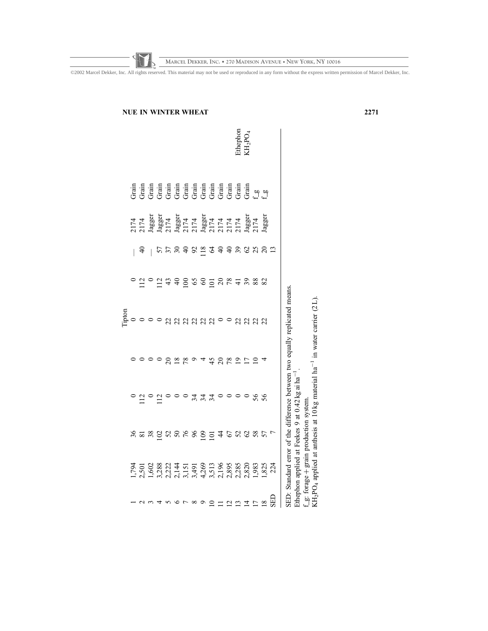|             |                                         |                                                                                      |                                                                                                                                                                                                                                                                                                                                                                                                                            | iptor                                                                      |                                                                                                                    |                |                                                                                                                                                                                                                                                                                                                                                                                                                                   |                                                       |
|-------------|-----------------------------------------|--------------------------------------------------------------------------------------|----------------------------------------------------------------------------------------------------------------------------------------------------------------------------------------------------------------------------------------------------------------------------------------------------------------------------------------------------------------------------------------------------------------------------|----------------------------------------------------------------------------|--------------------------------------------------------------------------------------------------------------------|----------------|-----------------------------------------------------------------------------------------------------------------------------------------------------------------------------------------------------------------------------------------------------------------------------------------------------------------------------------------------------------------------------------------------------------------------------------|-------------------------------------------------------|
|             |                                         |                                                                                      |                                                                                                                                                                                                                                                                                                                                                                                                                            |                                                                            |                                                                                                                    |                |                                                                                                                                                                                                                                                                                                                                                                                                                                   |                                                       |
|             |                                         |                                                                                      |                                                                                                                                                                                                                                                                                                                                                                                                                            |                                                                            |                                                                                                                    |                |                                                                                                                                                                                                                                                                                                                                                                                                                                   |                                                       |
|             |                                         | $\circ$ $\Xi$ $\circ$ $\Xi$ $\circ$                                                  |                                                                                                                                                                                                                                                                                                                                                                                                                            |                                                                            |                                                                                                                    |                |                                                                                                                                                                                                                                                                                                                                                                                                                                   |                                                       |
|             |                                         |                                                                                      |                                                                                                                                                                                                                                                                                                                                                                                                                            |                                                                            |                                                                                                                    |                |                                                                                                                                                                                                                                                                                                                                                                                                                                   |                                                       |
|             |                                         |                                                                                      |                                                                                                                                                                                                                                                                                                                                                                                                                            |                                                                            |                                                                                                                    |                |                                                                                                                                                                                                                                                                                                                                                                                                                                   |                                                       |
|             |                                         |                                                                                      | $\n  \n  \circ \, \n  \circ \, \n  \circ \, \n  \circ \, \n  \circ \, \n  \circ \, \n  \circ \, \n  \circ \, \n  \circ \, \n  \circ \, \n  \circ \, \n  \circ \, \n  \circ \, \n  \circ \, \n  \circ \, \n  \circ \, \n  \circ \, \n  \circ \, \n  \circ \, \n  \circ \, \n  \circ \, \n  \circ \, \n  \circ \, \n  \circ \, \n  \circ \, \n  \circ \, \n  \circ \, \n  \circ \, \n  \circ \, \n  \circ \, \n  \circ \, \$ |                                                                            |                                                                                                                    |                |                                                                                                                                                                                                                                                                                                                                                                                                                                   |                                                       |
|             |                                         |                                                                                      |                                                                                                                                                                                                                                                                                                                                                                                                                            |                                                                            |                                                                                                                    |                |                                                                                                                                                                                                                                                                                                                                                                                                                                   |                                                       |
|             | $8888$ 58 56 56 56 56 56 56 56 56 56 56 | $\circ$ $\circ$ $\stackrel{\sim}{\pi}$ $\stackrel{\sim}{\pi}$ $\stackrel{\sim}{\pi}$ |                                                                                                                                                                                                                                                                                                                                                                                                                            |                                                                            | $\circ$ $\Xi$ $\circ$ $\Xi$ $\alpha$ $\in$ $\Xi$ $\infty$ $\in$ $\Xi$ $\infty$ $\infty$ $\infty$ $\infty$ $\infty$ | 55888188888888 | $\begin{array}{l} 2174 \\ 2174 \\ \text{laggust} \\ 114 \\ \text{laggust} \\ 217 \\ \text{mag} \\ 217 \\ \text{mag} \\ 217 \\ \text{mag} \\ 217 \\ \text{mag} \\ 217 \\ \text{mag} \\ 217 \\ \text{mag} \\ 217 \\ \text{mag} \\ 217 \\ \text{mag} \\ 217 \\ \text{mag} \\ 217 \\ \text{mag} \\ 217 \\ \text{mag} \\ 217 \\ \text{mag} \\ 217 \\ \text{mag} \\ 217 \\ \text{mag} \\ 217 \\ \text{mag} \\ 217 \\ \text{mag} \\ 217$ |                                                       |
|             |                                         |                                                                                      | $\overline{4}$                                                                                                                                                                                                                                                                                                                                                                                                             |                                                                            |                                                                                                                    |                |                                                                                                                                                                                                                                                                                                                                                                                                                                   |                                                       |
|             |                                         |                                                                                      |                                                                                                                                                                                                                                                                                                                                                                                                                            |                                                                            |                                                                                                                    |                |                                                                                                                                                                                                                                                                                                                                                                                                                                   |                                                       |
|             |                                         | $\circ$                                                                              |                                                                                                                                                                                                                                                                                                                                                                                                                            |                                                                            |                                                                                                                    |                |                                                                                                                                                                                                                                                                                                                                                                                                                                   |                                                       |
|             |                                         | $\circ$                                                                              |                                                                                                                                                                                                                                                                                                                                                                                                                            |                                                                            |                                                                                                                    |                |                                                                                                                                                                                                                                                                                                                                                                                                                                   |                                                       |
| $\Xi$ 25158 |                                         | ∍                                                                                    | 4889120                                                                                                                                                                                                                                                                                                                                                                                                                    |                                                                            |                                                                                                                    |                |                                                                                                                                                                                                                                                                                                                                                                                                                                   |                                                       |
|             |                                         |                                                                                      |                                                                                                                                                                                                                                                                                                                                                                                                                            |                                                                            |                                                                                                                    |                |                                                                                                                                                                                                                                                                                                                                                                                                                                   | $\frac{3}{2}$ dephon<br>$\frac{1}{2}$ DO <sub>4</sub> |
|             |                                         | 0800                                                                                 |                                                                                                                                                                                                                                                                                                                                                                                                                            |                                                                            |                                                                                                                    |                |                                                                                                                                                                                                                                                                                                                                                                                                                                   |                                                       |
|             |                                         |                                                                                      |                                                                                                                                                                                                                                                                                                                                                                                                                            |                                                                            |                                                                                                                    |                |                                                                                                                                                                                                                                                                                                                                                                                                                                   |                                                       |
| <b>EES</b>  |                                         |                                                                                      |                                                                                                                                                                                                                                                                                                                                                                                                                            |                                                                            |                                                                                                                    |                |                                                                                                                                                                                                                                                                                                                                                                                                                                   |                                                       |
|             |                                         | Ethephon applied at Feekes 9 at 0.42 kg ai ha                                        |                                                                                                                                                                                                                                                                                                                                                                                                                            | SED: Standard error of the difference between two equally replicated means |                                                                                                                    |                |                                                                                                                                                                                                                                                                                                                                                                                                                                   |                                                       |

**MARCEL DEKKER, INC. • 270 MADISON AVENUE • NEW YORK, NY 10016**

f\_g: forage

þgrain production system.

KH<sub>2</sub>PO<sub>4</sub> applied at anthesis at 10 kg material ha<sup>-1</sup> in water carrier (2L).

NUE IN WINTER WHEAT 2271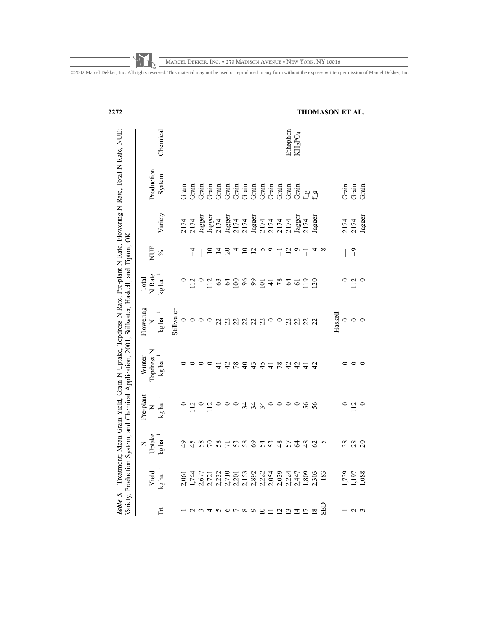| 2272                                                                                                                                                                                                                             |                                                              |           |         |                                                                                                                                                                                                                                                                                                                                                                                                                                                                                                                                 |       |                 |      |               |     |              |                           |                               |               |                                                         |                           |                |                |              |            | THOMASON ET AL. |         |                                                                           |                        |
|----------------------------------------------------------------------------------------------------------------------------------------------------------------------------------------------------------------------------------|--------------------------------------------------------------|-----------|---------|---------------------------------------------------------------------------------------------------------------------------------------------------------------------------------------------------------------------------------------------------------------------------------------------------------------------------------------------------------------------------------------------------------------------------------------------------------------------------------------------------------------------------------|-------|-----------------|------|---------------|-----|--------------|---------------------------|-------------------------------|---------------|---------------------------------------------------------|---------------------------|----------------|----------------|--------------|------------|-----------------|---------|---------------------------------------------------------------------------|------------------------|
|                                                                                                                                                                                                                                  | Chemical                                                     |           |         |                                                                                                                                                                                                                                                                                                                                                                                                                                                                                                                                 |       |                 |      |               |     |              |                           |                               |               |                                                         | Ethephon                  | $KH_2PO_4$     |                |              |            |                 |         |                                                                           |                        |
|                                                                                                                                                                                                                                  | Production<br>System                                         |           | Grain   | Grain                                                                                                                                                                                                                                                                                                                                                                                                                                                                                                                           | Grain |                 |      |               |     |              |                           |                               |               |                                                         |                           | Grain          |                | ဖုိ ဗု       |            |                 |         | $\begin{tabular}{c} \hline \texttt{chain}\\ \texttt{Grain} \end{tabular}$ | Grain                  |
|                                                                                                                                                                                                                                  | Variety                                                      |           |         | $\begin{array}{l} 2174 \\ 2174 \\ \textbf{Jagger} \\ \textbf{Jagger} \\ \textbf{Jagger} \\ \textbf{Jagger} \\ \textbf{Jagger} \\ \textbf{Jagger} \\ \textbf{Jagger} \\ \textbf{Jagger} \\ \textbf{Jagger} \\ \textbf{Jagger} \\ \textbf{Jagger} \\ \textbf{Jagger} \\ \textbf{Jagger} \\ \textbf{Jagger} \\ \textbf{Jagger} \\ \textbf{Jagger} \\ \textbf{Jagger} \\ \textbf{Jagger} \\ \textbf{Jagger} \\ \textbf{Jagger} \\ \textbf{Jagger} \\ \textbf{Jagger} \\ \textbf{Jagger} \\ \textbf{Jagger} \\ \textbf{Jagger} \\ \$ |       |                 |      |               |     |              |                           |                               |               |                                                         |                           |                |                |              |            |                 |         |                                                                           | 2174<br>2174<br>Jagger |
|                                                                                                                                                                                                                                  | NUE<br>$\%$                                                  |           |         | ┪                                                                                                                                                                                                                                                                                                                                                                                                                                                                                                                               |       |                 | 그    | $\Omega$      |     |              | $\overline{\mathfrak{c}}$ |                               | $\circ$       |                                                         | $\overline{\mathfrak{c}}$ | Q              | ī              |              | $\infty$   |                 |         | $\overline{0}$                                                            |                        |
|                                                                                                                                                                                                                                  | N Rate<br>$\mathrm{kg}\,\mathrm{ha}^{-1}$<br>Total           |           |         | $\frac{2}{12}$                                                                                                                                                                                                                                                                                                                                                                                                                                                                                                                  |       | $\overline{12}$ | 63   | $\mathcal{L}$ | 100 | 89           |                           | $\overline{5}$ $\overline{4}$ |               | 78                                                      |                           | $\overline{6}$ | $\frac{9}{2}$  | 20           |            |                 |         | 12                                                                        |                        |
|                                                                                                                                                                                                                                  | Flowering<br>$\mathrm{kg}\,\mathrm{ha}^{-1}$<br>$\mathsf{z}$ | Stillwate | $\circ$ | $\circ$                                                                                                                                                                                                                                                                                                                                                                                                                                                                                                                         |       |                 | 22   | 22            |     | 22           | 22                        | 22                            | $\circ$       | $\circ$                                                 | 22                        | 22             | $\overline{c}$ | 22           |            | Haskell         | $\circ$ | $\circ$                                                                   |                        |
| Table 5. Treatment; Mean Grain Yield, Grain N Uptake, Topdress N Rate, Pre-plant N Rate, Flowering N Rate, Total N Rate, NUE;<br>Variety, Production System, and Chemical Application, 2001, Stillwater, Haskell, and Tipton, OK | Topdress N<br>Winter<br>$\log{\rm ha}^{-1}$                  |           |         |                                                                                                                                                                                                                                                                                                                                                                                                                                                                                                                                 |       |                 |      | 42            | 78  | $\theta$     | 43                        | 45                            | $\frac{1}{4}$ | 78                                                      | 42                        | 42             | $\overline{4}$ | 42           |            |                 |         |                                                                           |                        |
|                                                                                                                                                                                                                                  | Pre-plant<br>$$\rm{N}$$ kg ha $^{-1}$                        |           |         |                                                                                                                                                                                                                                                                                                                                                                                                                                                                                                                                 |       | $\overline{12}$ |      |               |     | 34           | $34 \text{ }$             |                               | $\circ$       | $\circ$                                                 | $\circ$                   | $\circ$        | 56             | 56           |            |                 |         | $\overline{12}$                                                           | $\circ$                |
|                                                                                                                                                                                                                                  | Uptake<br>$\mathrm{kg}\,\mathrm{ha}^{-1}$<br>$\succ$         |           |         | 45                                                                                                                                                                                                                                                                                                                                                                                                                                                                                                                              | 58    | $\mathcal{L}$   | 8778 |               |     |              | 69                        | 54                            |               | 48                                                      | 57                        | $\mathcal{Z}$  | 48             | 62           |            |                 |         | 388                                                                       |                        |
|                                                                                                                                                                                                                                  | $\mathrm{kg}\,\mathrm{ha}^{-1}$<br>Yield                     |           | 2,061   | 1,744                                                                                                                                                                                                                                                                                                                                                                                                                                                                                                                           |       |                 |      |               |     |              |                           |                               |               |                                                         |                           |                |                | 2,303<br>183 |            |                 |         | 1,739<br>1,197<br>1,088                                                   |                        |
|                                                                                                                                                                                                                                  | $\mathbb{H}$                                                 |           |         |                                                                                                                                                                                                                                                                                                                                                                                                                                                                                                                                 |       |                 |      |               |     | ${}^{\circ}$ | $\circ$                   | $\overline{10}$               | $\Xi$         | $\begin{array}{c}\n2 & 2 & 4 \\ 2 & 3 & 4\n\end{array}$ |                           |                |                | $18\,$       | <b>GED</b> |                 |         | $\mathcal{L}$                                                             |                        |

**MARCEL DEKKER, INC. • 270 MADISON AVENUE • NEW YORK, NY 10016**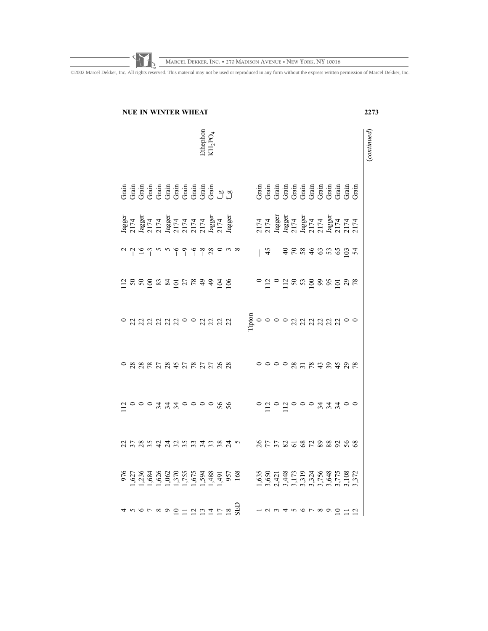**MARCEL DEKKER, INC. • 270 MADISON AVENUE • NEW YORK, NY 10016**

|                                                                                                                          | <b>NUE IN WINTER WHEAT</b>                                                                             |  |  |  |                                                           |  |  |  |                                                                                                                                                                                                                                                                                                                                                                |  |  |  |  |  | 2273             |  |
|--------------------------------------------------------------------------------------------------------------------------|--------------------------------------------------------------------------------------------------------|--|--|--|-----------------------------------------------------------|--|--|--|----------------------------------------------------------------------------------------------------------------------------------------------------------------------------------------------------------------------------------------------------------------------------------------------------------------------------------------------------------------|--|--|--|--|--|------------------|--|
|                                                                                                                          |                                                                                                        |  |  |  | $\bar{\rm E}$ the<br>phon KH <sub>2</sub> PO <sub>4</sub> |  |  |  |                                                                                                                                                                                                                                                                                                                                                                |  |  |  |  |  | $_{(continued)}$ |  |
| dia dia dia dia dia dia dia dia 49.5256.<br>Geografia dia dia dia dia dia 49.5256.<br>Geografia dia dia dia dia 40.6256. |                                                                                                        |  |  |  |                                                           |  |  |  |                                                                                                                                                                                                                                                                                                                                                                |  |  |  |  |  |                  |  |
| 1agger<br>2174<br>1898 5174<br>1898 5174<br>1898 5174<br>1898 5174<br>1898 5174                                          |                                                                                                        |  |  |  |                                                           |  |  |  | 2174<br>2174<br>18985174<br>18985174<br>18985174<br>2174<br>2174                                                                                                                                                                                                                                                                                               |  |  |  |  |  |                  |  |
|                                                                                                                          | a que m n n n n q o n o o o o o o o o o o                                                              |  |  |  |                                                           |  |  |  | $  4   368$ $868$ $899$ $897$                                                                                                                                                                                                                                                                                                                                  |  |  |  |  |  |                  |  |
|                                                                                                                          | $\Xi$ $\approx$ $\approx$ $\Xi$ $\approx$ $\approx$ $\Xi$ $\sim$ $\approx$ $\pm$ $\Xi$ $\approx$ $\Xi$ |  |  |  |                                                           |  |  |  | 0.20025852887                                                                                                                                                                                                                                                                                                                                                  |  |  |  |  |  |                  |  |
|                                                                                                                          | $\circ$ a a a a a a a $\circ$ $\circ$ a a a a a                                                        |  |  |  |                                                           |  |  |  | -<br>E00000222222000                                                                                                                                                                                                                                                                                                                                           |  |  |  |  |  |                  |  |
|                                                                                                                          | $\begin{array}{c} \circ \mathop{\mathsf{maxmax}}\limits_{{\mathsf{maxmaxmax}}}\ \end{array}$           |  |  |  |                                                           |  |  |  | $00000$ $\alpha$ $\pi$ $\alpha$ $\alpha$ $\alpha$ $\alpha$ $\alpha$ $\alpha$                                                                                                                                                                                                                                                                                   |  |  |  |  |  |                  |  |
|                                                                                                                          | $\Xi$<br>$\circ$ $\circ$ $\circ$ $\sharp$ $\sharp$ $\circ$ $\circ$ $\circ$ $\circ$ $\sharp$ $\sharp$   |  |  |  |                                                           |  |  |  | $\circ \; \vec{a} \; \vec{b} \; \vec{c} \; \vec{c} \; \vec{d} \; \vec{c} \; \vec{c} \; \vec{d} \; \vec{d} \; \vec{d} \; \vec{c} \; \vec{d} \; \vec{e} \; \vec{d} \; \vec{e} \; \vec{e} \; \vec{e} \; \vec{e} \; \vec{e} \; \vec{e} \; \vec{e} \; \vec{e} \; \vec{e} \; \vec{e} \; \vec{e} \; \vec{e} \; \vec{e} \; \vec{e} \; \vec{e} \; \vec{e} \; \vec{e} \$ |  |  |  |  |  |                  |  |
|                                                                                                                          | d b g g d d g g g g g g g g g g                                                                        |  |  |  |                                                           |  |  |  |                                                                                                                                                                                                                                                                                                                                                                |  |  |  |  |  |                  |  |
| 976<br>1,628 84 86 86 86 876 88 90 10<br>1,628 86 86 86 86 876 88 90 10 88 90 10 88 90 10 88 90 10 88 90 10 88 90 10 88  |                                                                                                        |  |  |  |                                                           |  |  |  | $1,635$<br>$2,434$ $3,517$ $3,317$ $3,317$ $3,327$ $3,337$ $3,337$ $3,377$ $3,377$ $3,377$                                                                                                                                                                                                                                                                     |  |  |  |  |  |                  |  |
|                                                                                                                          |                                                                                                        |  |  |  |                                                           |  |  |  | N m t n v r x o o o - 1                                                                                                                                                                                                                                                                                                                                        |  |  |  |  |  |                  |  |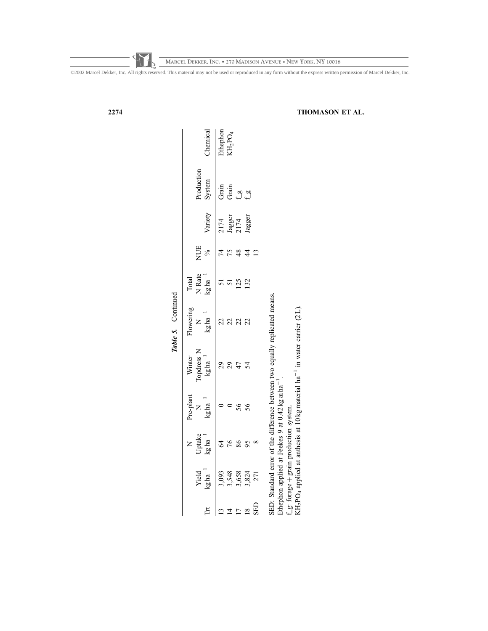|                                                              |                                                       |                                    |                                        |                                                                             | Table 5. Continued                             |                                                                                                    |                 |                                                                                                |                      |                                                         |
|--------------------------------------------------------------|-------------------------------------------------------|------------------------------------|----------------------------------------|-----------------------------------------------------------------------------|------------------------------------------------|----------------------------------------------------------------------------------------------------|-----------------|------------------------------------------------------------------------------------------------|----------------------|---------------------------------------------------------|
| Ě                                                            | $\frac{\text{Yield}}{\text{kg} \cdot \text{ha}^{-1}}$ | N<br>Uptake<br>kg ha <sup>-1</sup> | Pre-plant<br>$\frac{N}{kg \, ha^{-1}}$ | Winter<br>Copdress N<br>$\log ha^{-1}$                                      | Flowering<br>N<br>$\rm{N}$ kg ha <sup>-1</sup> | Total<br>N<br>Rate<br>$\begin{array}{c}\n\text{Total} \\ \text{Kg} \, \text{ha}^{-1}\n\end{array}$ | NUE<br>%        | Variety                                                                                        | Production<br>System |                                                         |
|                                                              |                                                       | $\mathcal{L}$                      |                                        | 29                                                                          | 22                                             |                                                                                                    |                 |                                                                                                |                      | Chemical<br>Ethephon<br>KH <sub>2</sub> PO <sub>4</sub> |
| $\begin{array}{c}\n 24 \\  25 \\  \hline\n 26\n \end{array}$ | 3,093<br>3,548<br>3,658<br>3,824                      | 76                                 |                                        | 29                                                                          | 22                                             | 51                                                                                                 | 75              | $\begin{array}{l} 2174 \\ \text{Jagger} \\ 2174 \\ \text{Jagger} \\ \text{Jagger} \end{array}$ |                      |                                                         |
|                                                              |                                                       | 86                                 | 56                                     | $\ddot{4}$                                                                  | 22                                             | 125                                                                                                | 48              |                                                                                                |                      |                                                         |
|                                                              |                                                       | 95                                 | 56                                     | $\mathcal{L}$                                                               | 22                                             | 132                                                                                                |                 |                                                                                                |                      |                                                         |
| SED                                                          |                                                       | $\infty$                           |                                        |                                                                             |                                                |                                                                                                    | $\overline{13}$ |                                                                                                |                      |                                                         |
|                                                              |                                                       |                                    | コード・コード しょうしょう しょうしょう                  | SED: Standard error of the difference between two equally replicated means. |                                                |                                                                                                    |                 |                                                                                                |                      |                                                         |

Ethephon applied at Feekes 9 at  $0.42$  kg ai ha<sup>-1</sup> .

f\_g: forage  $^+$  grain production system. KH<sub>2</sub>PO<sub>4</sub> applied at anthesis at 10 kg material  $ha^{-1}$  in water carrier (2L).

2274 THOMASON ET AL.

©2002 Marcel Dekker, Inc. All rights reserved. This material may not be used or reproduced in any form without the express written permission of Marcel Dekker, Inc.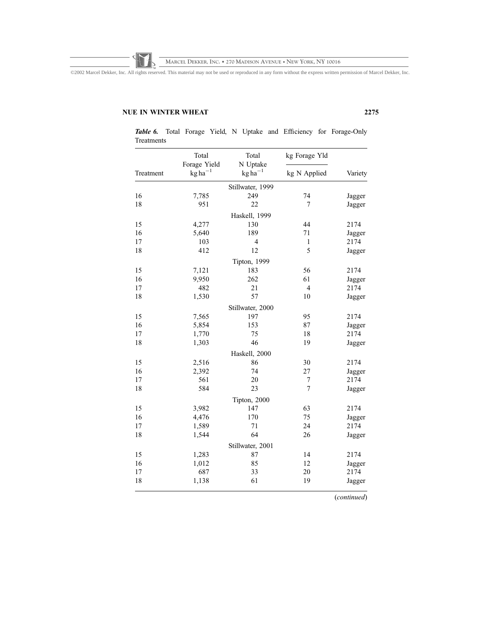©2002 Marcel Dekker, Inc. All rights reserved. This material may not be used or reproduced in any form without the express written permission of Marcel Dekker, Inc.

# NUE IN WINTER WHEAT 2275

|           | Total<br>Forage Yield       | Total<br>N Uptake | kg Forage Yld  |         |
|-----------|-----------------------------|-------------------|----------------|---------|
| Treatment | $\text{kg}\,\text{ha}^{-1}$ | $kg ha^{-1}$      | kg N Applied   | Variety |
|           |                             | Stillwater, 1999  |                |         |
| 16        | 7,785                       | 249               | 74             | Jagger  |
| 18        | 951                         | 22                | 7              | Jagger  |
|           |                             | Haskell, 1999     |                |         |
| 15        | 4,277                       | 130               | 44             | 2174    |
| 16        | 5,640                       | 189               | 71             | Jagger  |
| 17        | 103                         | $\overline{4}$    | $\mathbf{1}$   | 2174    |
| 18        | 412                         | 12                | 5              | Jagger  |
|           |                             | Tipton, 1999      |                |         |
| 15        | 7,121                       | 183               | 56             | 2174    |
| 16        | 9,950                       | 262               | 61             | Jagger  |
| 17        | 482                         | 21                | $\overline{4}$ | 2174    |
| 18        | 1,530                       | 57                | 10             | Jagger  |
|           |                             | Stillwater, 2000  |                |         |
| 15        | 7,565                       | 197               | 95             | 2174    |
| 16        | 5,854                       | 153               | 87             | Jagger  |
| 17        | 1,770                       | 75                | 18             | 2174    |
| 18        | 1,303                       | 46                | 19             | Jagger  |
|           |                             | Haskell, 2000     |                |         |
| 15        | 2,516                       | 86                | 30             | 2174    |
| 16        | 2,392                       | 74                | 27             | Jagger  |
| 17        | 561                         | 20                | 7              | 2174    |
| 18        | 584                         | 23                | 7              | Jagger  |
|           |                             | Tipton, 2000      |                |         |
| 15        | 3,982                       | 147               | 63             | 2174    |
| 16        | 4,476                       | 170               | 75             | Jagger  |
| 17        | 1,589                       | 71                | 24             | 2174    |
| 18        | 1,544                       | 64                | 26             | Jagger  |
|           |                             | Stillwater, 2001  |                |         |
| 15        | 1,283                       | 87                | 14             | 2174    |
| 16        | 1,012                       | 85                | 12             | Jagger  |
| 17        | 687                         | 33                | 20             | 2174    |
| 18        | 1,138                       | 61                | 19             | Jagger  |

Table 6. Total Forage Yield, N Uptake and Efficiency for Forage-Only Treatments

(continued)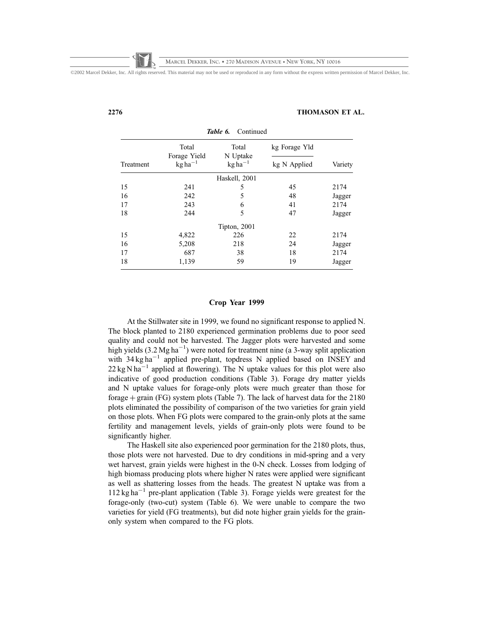### 2276 THOMASON ET AL.

|           |                       | тине ч.<br>Communi |               |         |
|-----------|-----------------------|--------------------|---------------|---------|
|           | Total<br>Forage Yield | Total<br>N Uptake  | kg Forage Yld |         |
| Treatment | $kg ha^{-1}$          | $kg ha^{-1}$       | kg N Applied  | Variety |
|           |                       | Haskell, 2001      |               |         |
| 15        | 241                   | 5                  | 45            | 2174    |
| 16        | 242                   | 5                  | 48            | Jagger  |
| 17        | 243                   | 6                  | 41            | 2174    |
| 18        | 244                   | 5                  | 47            | Jagger  |
|           |                       | Tipton, 2001       |               |         |
| 15        | 4,822                 | 226                | 22            | 2174    |
| 16        | 5,208                 | 218                | 24            | Jagger  |
| 17        | 687                   | 38                 | 18            | 2174    |
| 18        | 1,139                 | 59                 | 19            | Jagger  |

# Table 6. Continued

# Crop Year 1999

At the Stillwater site in 1999, we found no significant response to applied N. The block planted to 2180 experienced germination problems due to poor seed quality and could not be harvested. The Jagger plots were harvested and some high yields  $(3.2 \text{ Mg ha}^{-1})$  were noted for treatment nine (a 3-way split application with  $34 \text{ kg ha}^{-1}$  applied pre-plant, topdress N applied based on INSEY and  $22 \text{ kg} \text{ N} \text{ ha}^{-1}$  applied at flowering). The N uptake values for this plot were also indicative of good production conditions (Table 3). Forage dry matter yields and N uptake values for forage-only plots were much greater than those for forage  $+$  grain (FG) system plots (Table 7). The lack of harvest data for the 2180 plots eliminated the possibility of comparison of the two varieties for grain yield on those plots. When FG plots were compared to the grain-only plots at the same fertility and management levels, yields of grain-only plots were found to be significantly higher.

The Haskell site also experienced poor germination for the 2180 plots, thus, those plots were not harvested. Due to dry conditions in mid-spring and a very wet harvest, grain yields were highest in the 0-N check. Losses from lodging of high biomass producing plots where higher N rates were applied were significant as well as shattering losses from the heads. The greatest N uptake was from a  $112 \text{ kg ha}^{-1}$  pre-plant application (Table 3). Forage yields were greatest for the forage-only (two-cut) system (Table 6). We were unable to compare the two varieties for yield (FG treatments), but did note higher grain yields for the grainonly system when compared to the FG plots.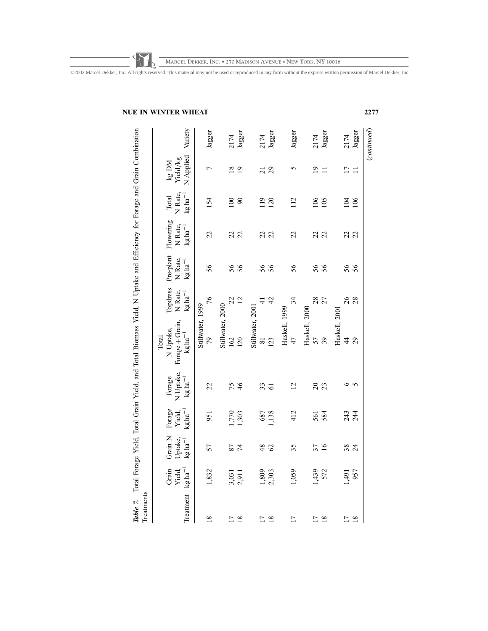**MARCEL DEKKER, INC. • 270 MADISON AVENUE • NEW YORK, NY 10016**

| Treatments            |                                              |                                             |                                           |                                              | Table 7. Total Forage Yield, Total Grain Yield, and Total Biomass Yield, N Uptake and Efficiency for Forage and Grain Combination |                                               |                                             |                                               |                                       |                                  |                |
|-----------------------|----------------------------------------------|---------------------------------------------|-------------------------------------------|----------------------------------------------|-----------------------------------------------------------------------------------------------------------------------------------|-----------------------------------------------|---------------------------------------------|-----------------------------------------------|---------------------------------------|----------------------------------|----------------|
| Treatment             | $\log{\rm ha}^{-1}$<br>Grain<br><b>Yield</b> | Grain N<br>Uptake,<br>$kg$ ha <sup>-1</sup> | Forage<br>$kg$ ha <sup>-1</sup><br>Yield, | N Uptake,<br>Forage<br>$kg$ ha <sup>-1</sup> | Forage + Grain,<br>N Uptake,<br>$kg\,{\rm ha}^{-1}$<br>Total                                                                      | Topdress<br>N Rate,<br>$\mathrm{kg\,ha}^{-1}$ | Pre-plant<br>N Rate,<br>$\log{\rm ha}^{-1}$ | Flowering<br>N Rate,<br>$kg$ ha <sup>-1</sup> | N Rate,<br>$\rm kg\,ha^{-1}$<br>Total | N Applied<br>Yield/kg<br>kg DM   | Variety        |
| 18                    | 1,832                                        | 57                                          | 951                                       | 22                                           | Stillwater, 1999<br>79                                                                                                            | 76                                            | 56                                          | 22                                            | 154                                   |                                  | Jagger         |
| 18<br>$\overline{17}$ | 3,031<br>2,911                               | 87<br>74                                    | 1,303<br>042                              | 75<br>$\frac{4}{6}$                          | Stillwater, 2000<br>162<br>120                                                                                                    | $\overline{c}$<br>22                          | 56<br>56                                    | 22<br>22                                      | 100<br>$\infty$                       | $\frac{8}{18}$<br>$\overline{1}$ | Jagger<br>2174 |
| 18<br>$\overline{17}$ | 1,809<br>2,303                               | $\frac{8}{3}$<br>$\mathcal{O}$              | 1,138<br>687                              | 33<br>$\overline{6}$                         | Stillwater, 2001<br>123<br>$\overline{8}$                                                                                         | 42<br>₹                                       | 56<br>56                                    | 22<br>22                                      | $\frac{19}{2}$<br>120                 | 29<br>$\overline{c}$             | Jagger<br>2174 |
| 17                    | 1,059                                        | 35                                          | 412                                       | $\overline{2}$                               | Haskell, 1999<br>47                                                                                                               | 34                                            | 56                                          | 22                                            | 112                                   |                                  | Jagger         |
| $\overline{17}$<br>18 | 1,439<br>572                                 | 37<br>$\overline{16}$                       | 584<br>561                                | $\overline{c}$<br>23                         | Haskell, 2000<br>57<br>39                                                                                                         | 28<br>27                                      | 56<br>56                                    | 22                                            | 106<br>105                            | $\overline{0}$                   | Jagger<br>2174 |
| $\overline{17}$<br>18 | 957<br>1,491                                 | 38<br>$\overline{24}$                       | 243<br>244                                |                                              | Haskell, 200<br>29<br>$\overline{4}$                                                                                              | 26<br>28                                      | 56<br>56                                    | 22                                            | 104<br>106                            | $\overline{17}$                  | Jagger<br>2174 |

# NUE IN WINTER WHEAT 2277

(continued)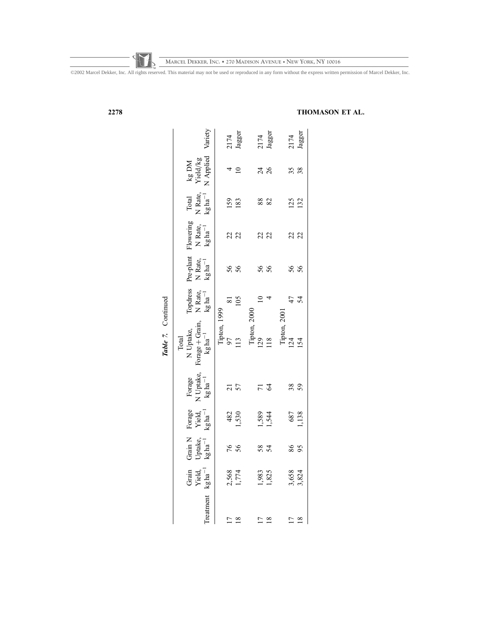©2002 Marcel Dekker, Inc. All rights reserved. This material may not be used or reproduced in any form without the express written permission of Marcel Dekker, Inc.

| ۰. |  |
|----|--|
|----|--|

# 2278 THOMASON ET AL.

|                 |                                    |                                           |                                    |                                            | Table 7. Continued                                           |                                              |                                             |                                           |                                                  |                                |                |
|-----------------|------------------------------------|-------------------------------------------|------------------------------------|--------------------------------------------|--------------------------------------------------------------|----------------------------------------------|---------------------------------------------|-------------------------------------------|--------------------------------------------------|--------------------------------|----------------|
|                 |                                    |                                           |                                    |                                            | Total<br>N Uptake,<br>Forage + Grain,<br>kg ha <sup>-1</sup> |                                              |                                             |                                           |                                                  |                                |                |
| Treatment       | Grain<br>Yield, $\rm{Kg\,ha}^{-1}$ | Grain N<br>Uptake,<br>kg ha <sup>-1</sup> | Forage<br>Yield, $\rm{Yed}_A^{-1}$ | Forage<br>N Uptake,<br>kg ha <sup>-1</sup> |                                                              | Topdress<br>N Rate,<br>$kg$ ha <sup>-1</sup> | Pre-plant<br>N Rate,<br>kg ha <sup>-1</sup> | Flowering<br>N<br>Rate, $\rm kg\,ha^{-1}$ | Total<br>N<br>Rate, $\kappa g \, \text{ha}^{-1}$ | kg DM<br>Yield/kg<br>N Applied | Variety        |
|                 |                                    |                                           |                                    |                                            | Tipton, 1999                                                 |                                              |                                             |                                           |                                                  |                                |                |
| $\overline{17}$ |                                    | 76<br>56                                  |                                    | $\frac{21}{57}$                            | 56                                                           | $\frac{81}{105}$                             | 56<br>56                                    | 22                                        | <b>159</b><br>183                                |                                |                |
| $\frac{8}{18}$  | 2,568<br>1,774                     |                                           | 482<br>1,530                       |                                            | $\overline{13}$                                              |                                              |                                             |                                           |                                                  |                                | 2174<br>Jagger |
|                 |                                    |                                           |                                    |                                            | Tipton, 2000                                                 |                                              |                                             |                                           |                                                  |                                |                |
| $\overline{17}$ | 1,983<br>1,825                     | 58                                        | 1,544                              | $7\frac{3}{4}$                             | $\frac{129}{118}$                                            |                                              | 56<br>56                                    | 22                                        | 88                                               | 24<br>26                       |                |
| $\overline{18}$ |                                    |                                           |                                    |                                            |                                                              |                                              |                                             |                                           |                                                  |                                | 2174<br>Jagger |
|                 |                                    |                                           |                                    |                                            | Tipton, 2001                                                 |                                              |                                             |                                           |                                                  |                                |                |
| $\overline{17}$ | 3,658<br>3,824                     | 86<br>95                                  | 687<br>1.138                       | 38                                         | 24                                                           | 4 Z<br>4                                     | 56<br>56                                    | 22                                        | 125<br>132                                       | 38                             |                |
| $\frac{8}{18}$  |                                    |                                           |                                    |                                            | 154                                                          |                                              |                                             |                                           |                                                  |                                | 2174<br>Jagger |
|                 |                                    |                                           |                                    |                                            |                                                              |                                              |                                             |                                           |                                                  |                                |                |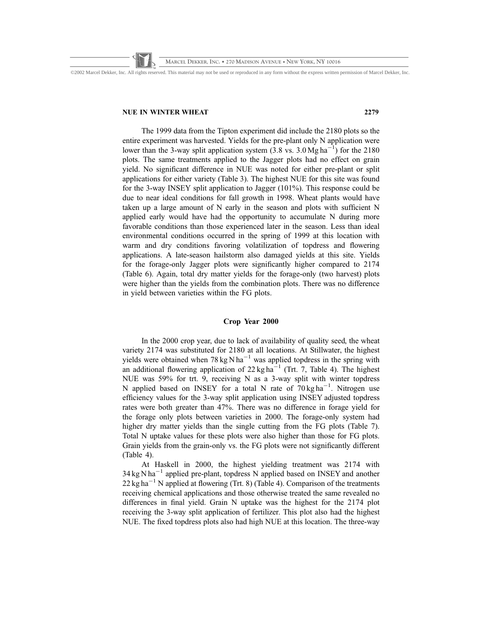©2002 Marcel Dekker, Inc. All rights reserved. This material may not be used or reproduced in any form without the express written permission of Marcel Dekker, Inc.

### NUE IN WINTER WHEAT 2279

The 1999 data from the Tipton experiment did include the 2180 plots so the entire experiment was harvested. Yields for the pre-plant only N application were lower than the 3-way split application system  $(3.8 \text{ vs. } 3.0 \text{ Mg ha}^{-1})$  for the 2180 plots. The same treatments applied to the Jagger plots had no effect on grain yield. No significant difference in NUE was noted for either pre-plant or split applications for either variety (Table 3). The highest NUE for this site was found for the 3-way INSEY split application to Jagger (101%). This response could be due to near ideal conditions for fall growth in 1998. Wheat plants would have taken up a large amount of N early in the season and plots with sufficient N applied early would have had the opportunity to accumulate N during more favorable conditions than those experienced later in the season. Less than ideal environmental conditions occurred in the spring of 1999 at this location with warm and dry conditions favoring volatilization of topdress and flowering applications. A late-season hailstorm also damaged yields at this site. Yields for the forage-only Jagger plots were significantly higher compared to 2174 (Table 6). Again, total dry matter yields for the forage-only (two harvest) plots were higher than the yields from the combination plots. There was no difference in yield between varieties within the FG plots.

# Crop Year 2000

In the 2000 crop year, due to lack of availability of quality seed, the wheat variety 2174 was substituted for 2180 at all locations. At Stillwater, the highest yields were obtained when 78 kg N ha<sup>-1</sup> was applied topdress in the spring with an additional flowering application of  $22 \text{ kg ha}^{-1}$  (Trt. 7, Table 4). The highest NUE was 59% for trt. 9, receiving N as a 3-way split with winter topdress N applied based on INSEY for a total N rate of  $70 \text{ kg ha}^{-1}$ . Nitrogen use efficiency values for the 3-way split application using INSEY adjusted topdress rates were both greater than 47%. There was no difference in forage yield for the forage only plots between varieties in 2000. The forage-only system had higher dry matter yields than the single cutting from the FG plots (Table 7). Total N uptake values for these plots were also higher than those for FG plots. Grain yields from the grain-only vs. the FG plots were not significantly different (Table 4).

At Haskell in 2000, the highest yielding treatment was 2174 with  $34 \text{ kg N} \text{ ha}^{-1}$  applied pre-plant, topdress N applied based on INSEY and another  $22 \text{ kg ha}^{-1}$  N applied at flowering (Trt. 8) (Table 4). Comparison of the treatments receiving chemical applications and those otherwise treated the same revealed no differences in final yield. Grain N uptake was the highest for the 2174 plot receiving the 3-way split application of fertilizer. This plot also had the highest NUE. The fixed topdress plots also had high NUE at this location. The three-way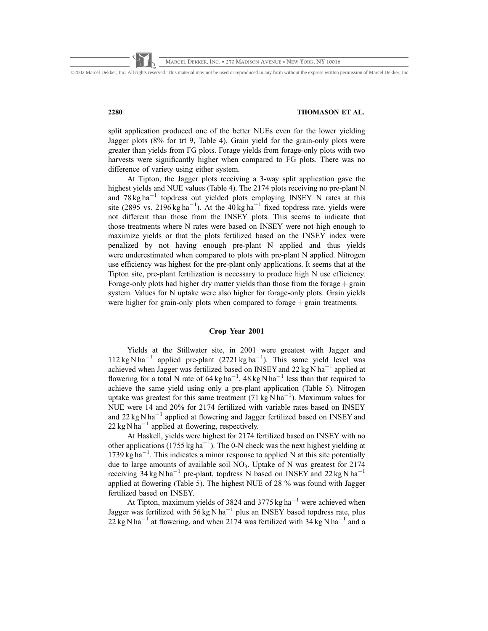©2002 Marcel Dekker, Inc. All rights reserved. This material may not be used or reproduced in any form without the express written permission of Marcel Dekker, Inc.

# 2280 THOMASON ET AL.

split application produced one of the better NUEs even for the lower yielding Jagger plots (8% for trt 9, Table 4). Grain yield for the grain-only plots were greater than yields from FG plots. Forage yields from forage-only plots with two harvests were significantly higher when compared to FG plots. There was no difference of variety using either system.

At Tipton, the Jagger plots receiving a 3-way split application gave the highest yields and NUE values (Table 4). The 2174 plots receiving no pre-plant N and  $78 \text{ kg ha}^{-1}$  topdress out yielded plots employing INSEY N rates at this site (2895 vs. 2196 kg ha<sup>-1</sup>). At the 40 kg ha<sup>-1</sup> fixed topdress rate, yields were not different than those from the INSEY plots. This seems to indicate that those treatments where N rates were based on INSEY were not high enough to maximize yields or that the plots fertilized based on the INSEY index were penalized by not having enough pre-plant N applied and thus yields were underestimated when compared to plots with pre-plant N applied. Nitrogen use efficiency was highest for the pre-plant only applications. It seems that at the Tipton site, pre-plant fertilization is necessary to produce high N use efficiency. Forage-only plots had higher dry matter yields than those from the forage  $+$  grain system. Values for N uptake were also higher for forage-only plots. Grain yields were higher for grain-only plots when compared to forage  $+$  grain treatments.

### Crop Year 2001

Yields at the Stillwater site, in 2001 were greatest with Jagger and  $112 \text{ kg} \text{ N} \text{ ha}^{-1}$  applied pre-plant (2721 kg ha<sup>-1</sup>). This same yield level was achieved when Jagger was fertilized based on INSEY and  $22 \text{ kg N}$  ha<sup>-1</sup> applied at flowering for a total N rate of  $64 \text{ kg ha}^{-1}$ ,  $48 \text{ kg N ha}^{-1}$  less than that required to achieve the same yield using only a pre-plant application (Table 5). Nitrogen uptake was greatest for this same treatment (71 kg  $\text{N}$  ha<sup>-1</sup>). Maximum values for NUE were 14 and 20% for 2174 fertilized with variable rates based on INSEY and  $22 \text{ kg N} \text{ ha}^{-1}$  applied at flowering and Jagger fertilized based on INSEY and  $22 \text{ kg} \text{ N} \text{ ha}^{-1}$  applied at flowering, respectively.

At Haskell, yields were highest for 2174 fertilized based on INSEY with no other applications (1755 kg ha<sup>-1</sup>). The 0-N check was the next highest yielding at  $1739 \text{ kg} \text{ ha}^{-1}$ . This indicates a minor response to applied N at this site potentially due to large amounts of available soil  $NO<sub>3</sub>$ . Uptake of N was greatest for 2174 receiving  $34 \text{ kg} \text{ N} \text{ ha}^{-1}$  pre-plant, topdress N based on INSEY and  $22 \text{ kg} \text{ N} \text{ ha}^{-1}$ applied at flowering (Table 5). The highest NUE of 28 % was found with Jagger fertilized based on INSEY.

At Tipton, maximum yields of 3824 and 3775 kg ha<sup>-1</sup> were achieved when Jagger was fertilized with  $56 \text{ kg} \text{ N} \text{ ha}^{-1}$  plus an INSEY based topdress rate, plus  $22 \text{ kg N} \text{ ha}^{-1}$  at flowering, and when 2174 was fertilized with 34 kg N ha<sup>-1</sup> and a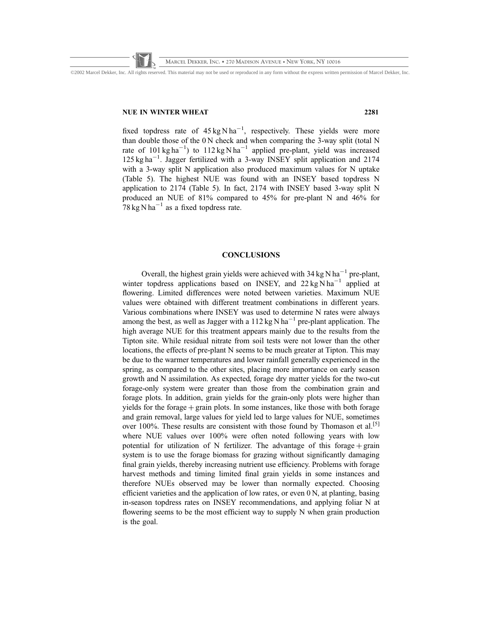©2002 Marcel Dekker, Inc. All rights reserved. This material may not be used or reproduced in any form without the express written permission of Marcel Dekker, Inc.

### NUE IN WINTER WHEAT 2281

fixed topdress rate of  $45 \text{ kg} \text{N} \text{ha}^{-1}$ , respectively. These yields were more than double those of the 0 N check and when comparing the 3-way split (total N rate of 101 kg ha<sup>-1</sup>) to 112 kg N ha<sup>-1</sup> applied pre-plant, yield was increased 125 kg ha<sup>-1</sup>. Jagger fertilized with a 3-way INSEY split application and 2174 with a 3-way split N application also produced maximum values for N uptake (Table 5). The highest NUE was found with an INSEY based topdress N application to 2174 (Table 5). In fact, 2174 with INSEY based 3-way split N produced an NUE of 81% compared to 45% for pre-plant N and 46% for 78 kg N ha<sup>-1</sup> as a fixed topdress rate.

# **CONCLUSIONS**

Overall, the highest grain yields were achieved with  $34 \text{ kg N} \text{ ha}^{-1}$  pre-plant, winter topdress applications based on INSEY, and  $22 \text{ kg} \text{N} \text{h} \text{a}^{-1}$  applied at flowering. Limited differences were noted between varieties. Maximum NUE values were obtained with different treatment combinations in different years. Various combinations where INSEY was used to determine N rates were always among the best, as well as Jagger with a  $112 \text{ kg} \text{N} \text{ha}^{-1}$  pre-plant application. The high average NUE for this treatment appears mainly due to the results from the Tipton site. While residual nitrate from soil tests were not lower than the other locations, the effects of pre-plant N seems to be much greater at Tipton. This may be due to the warmer temperatures and lower rainfall generally experienced in the spring, as compared to the other sites, placing more importance on early season growth and N assimilation. As expected, forage dry matter yields for the two-cut forage-only system were greater than those from the combination grain and forage plots. In addition, grain yields for the grain-only plots were higher than yields for the forage  $+$  grain plots. In some instances, like those with both forage and grain removal, large values for yield led to large values for NUE, sometimes over 100%. These results are consistent with those found by Thomason et al.<sup>[5]</sup> where NUE values over 100% were often noted following years with low potential for utilization of N fertilizer. The advantage of this forage  $+$  grain system is to use the forage biomass for grazing without significantly damaging final grain yields, thereby increasing nutrient use efficiency. Problems with forage harvest methods and timing limited final grain yields in some instances and therefore NUEs observed may be lower than normally expected. Choosing efficient varieties and the application of low rates, or even  $0 \text{ N}$ , at planting, basing in-season topdress rates on INSEY recommendations, and applying foliar N at flowering seems to be the most efficient way to supply N when grain production is the goal.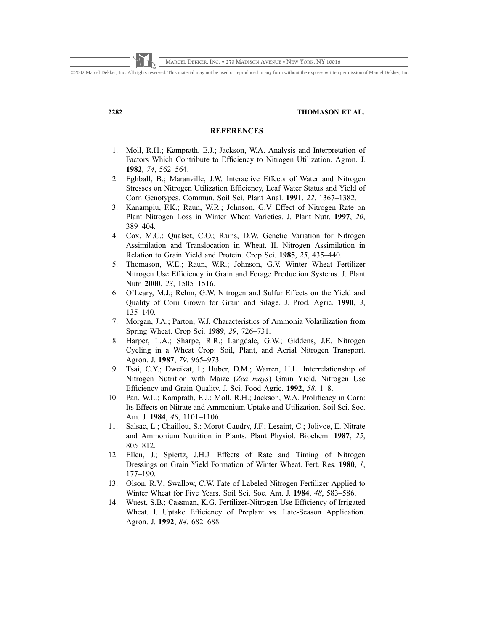# 2282 THOMASON ET AL.

# **REFERENCES**

- 1. Moll, R.H.; Kamprath, E.J.; Jackson, W.A. Analysis and Interpretation of Factors Which Contribute to Efficiency to Nitrogen Utilization. Agron. J. 1982, 74, 562–564.
- 2. Eghball, B.; Maranville, J.W. Interactive Effects of Water and Nitrogen Stresses on Nitrogen Utilization Efficiency, Leaf Water Status and Yield of Corn Genotypes. Commun. Soil Sci. Plant Anal. 1991, 22, 1367–1382.
- 3. Kanampiu, F.K.; Raun, W.R.; Johnson, G.V. Effect of Nitrogen Rate on Plant Nitrogen Loss in Winter Wheat Varieties. J. Plant Nutr. 1997, 20, 389–404.
- 4. Cox, M.C.; Qualset, C.O.; Rains, D.W. Genetic Variation for Nitrogen Assimilation and Translocation in Wheat. II. Nitrogen Assimilation in Relation to Grain Yield and Protein. Crop Sci. 1985, 25, 435–440.
- 5. Thomason, W.E.; Raun, W.R.; Johnson, G.V. Winter Wheat Fertilizer Nitrogen Use Efficiency in Grain and Forage Production Systems. J. Plant Nutr. 2000, 23, 1505–1516.
- 6. O'Leary, M.J.; Rehm, G.W. Nitrogen and Sulfur Effects on the Yield and Quality of Corn Grown for Grain and Silage. J. Prod. Agric. 1990, 3, 135–140.
- 7. Morgan, J.A.; Parton, W.J. Characteristics of Ammonia Volatilization from Spring Wheat. Crop Sci. 1989, 29, 726–731.
- 8. Harper, L.A.; Sharpe, R.R.; Langdale, G.W.; Giddens, J.E. Nitrogen Cycling in a Wheat Crop: Soil, Plant, and Aerial Nitrogen Transport. Agron. J. 1987, 79, 965–973.
- 9. Tsai, C.Y.; Dweikat, I.; Huber, D.M.; Warren, H.L. Interrelationship of Nitrogen Nutrition with Maize (Zea mays) Grain Yield, Nitrogen Use Efficiency and Grain Quality. J. Sci. Food Agric. 1992, 58, 1–8.
- 10. Pan, W.L.; Kamprath, E.J.; Moll, R.H.; Jackson, W.A. Prolificacy in Corn: Its Effects on Nitrate and Ammonium Uptake and Utilization. Soil Sci. Soc. Am. J. 1984, 48, 1101–1106.
- 11. Salsac, L.; Chaillou, S.; Morot-Gaudry, J.F.; Lesaint, C.; Jolivoe, E. Nitrate and Ammonium Nutrition in Plants. Plant Physiol. Biochem. 1987, 25, 805–812.
- 12. Ellen, J.; Spiertz, J.H.J. Effects of Rate and Timing of Nitrogen Dressings on Grain Yield Formation of Winter Wheat. Fert. Res. 1980, 1, 177–190.
- 13. Olson, R.V.; Swallow, C.W. Fate of Labeled Nitrogen Fertilizer Applied to Winter Wheat for Five Years. Soil Sci. Soc. Am. J. 1984, 48, 583–586.
- 14. Wuest, S.B.; Cassman, K.G. Fertilizer-Nitrogen Use Efficiency of Irrigated Wheat. I. Uptake Efficiency of Preplant vs. Late-Season Application. Agron. J. 1992, 84, 682–688.